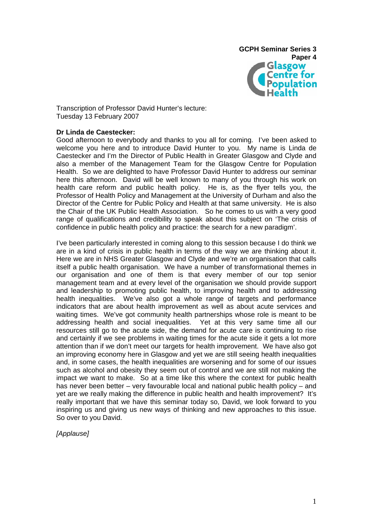

Transcription of Professor David Hunter's lecture: Tuesday 13 February 2007

## **Dr Linda de Caestecker:**

Good afternoon to everybody and thanks to you all for coming. I've been asked to welcome you here and to introduce David Hunter to you. My name is Linda de Caestecker and I'm the Director of Public Health in Greater Glasgow and Clyde and also a member of the Management Team for the Glasgow Centre for Population Health. So we are delighted to have Professor David Hunter to address our seminar here this afternoon. David will be well known to many of you through his work on health care reform and public health policy. He is, as the flyer tells you, the Professor of Health Policy and Management at the University of Durham and also the Director of the Centre for Public Policy and Health at that same university. He is also the Chair of the UK Public Health Association. So he comes to us with a very good range of qualifications and credibility to speak about this subject on 'The crisis of confidence in public health policy and practice: the search for a new paradigm'.

I've been particularly interested in coming along to this session because I do think we are in a kind of crisis in public health in terms of the way we are thinking about it. Here we are in NHS Greater Glasgow and Clyde and we're an organisation that calls itself a public health organisation. We have a number of transformational themes in our organisation and one of them is that every member of our top senior management team and at every level of the organisation we should provide support and leadership to promoting public health, to improving health and to addressing health inequalities. We've also got a whole range of targets and performance indicators that are about health improvement as well as about acute services and waiting times. We've got community health partnerships whose role is meant to be addressing health and social inequalities. Yet at this very same time all our resources still go to the acute side, the demand for acute care is continuing to rise and certainly if we see problems in waiting times for the acute side it gets a lot more attention than if we don't meet our targets for health improvement. We have also got an improving economy here in Glasgow and yet we are still seeing health inequalities and, in some cases, the health inequalities are worsening and for some of our issues such as alcohol and obesity they seem out of control and we are still not making the impact we want to make. So at a time like this where the context for public health has never been better – very favourable local and national public health policy – and yet are we really making the difference in public health and health improvement? It's really important that we have this seminar today so, David, we look forward to you inspiring us and giving us new ways of thinking and new approaches to this issue. So over to you David.

*[Applause]*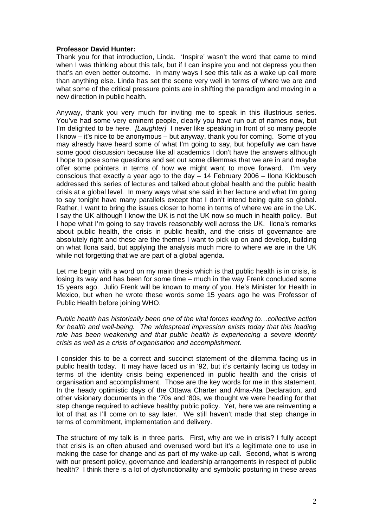## **Professor David Hunter:**

Thank you for that introduction, Linda. 'Inspire' wasn't the word that came to mind when I was thinking about this talk, but if I can inspire you and not depress you then that's an even better outcome. In many ways I see this talk as a wake up call more than anything else. Linda has set the scene very well in terms of where we are and what some of the critical pressure points are in shifting the paradigm and moving in a new direction in public health.

Anyway, thank you very much for inviting me to speak in this illustrious series. You've had some very eminent people, clearly you have run out of names now, but I'm delighted to be here. *[Laughter]* I never like speaking in front of so many people I know – it's nice to be anonymous – but anyway, thank you for coming. Some of you may already have heard some of what I'm going to say, but hopefully we can have some good discussion because like all academics I don't have the answers although I hope to pose some questions and set out some dilemmas that we are in and maybe offer some pointers in terms of how we might want to move forward. I'm very conscious that exactly a year ago to the day – 14 February 2006 – Ilona Kickbusch addressed this series of lectures and talked about global health and the public health crisis at a global level. In many ways what she said in her lecture and what I'm going to say tonight have many parallels except that I don't intend being quite so global. Rather, I want to bring the issues closer to home in terms of where we are in the UK. I say the UK although I know the UK is not the UK now so much in health policy. But I hope what I'm going to say travels reasonably well across the UK. Ilona's remarks about public health, the crisis in public health, and the crisis of governance are absolutely right and these are the themes I want to pick up on and develop, building on what Ilona said, but applying the analysis much more to where we are in the UK while not forgetting that we are part of a global agenda.

Let me begin with a word on my main thesis which is that public health is in crisis, is losing its way and has been for some time – much in the way Frenk concluded some 15 years ago. Julio Frenk will be known to many of you. He's Minister for Health in Mexico, but when he wrote these words some 15 years ago he was Professor of Public Health before joining WHO.

*Public health has historically been one of the vital forces leading to…collective action for health and well-being. The widespread impression exists today that this leading role has been weakening and that public health is experiencing a severe identity crisis as well as a crisis of organisation and accomplishment.* 

I consider this to be a correct and succinct statement of the dilemma facing us in public health today. It may have faced us in '92, but it's certainly facing us today in terms of the identity crisis being experienced in public health and the crisis of organisation and accomplishment. Those are the key words for me in this statement. In the heady optimistic days of the Ottawa Charter and Alma-Ata Declaration, and other visionary documents in the '70s and '80s, we thought we were heading for that step change required to achieve healthy public policy. Yet, here we are reinventing a lot of that as I'll come on to say later. We still haven't made that step change in terms of commitment, implementation and delivery.

The structure of my talk is in three parts. First, why are we in crisis? I fully accept that crisis is an often abused and overused word but it's a legitimate one to use in making the case for change and as part of my wake-up call. Second, what is wrong with our present policy, governance and leadership arrangements in respect of public health? I think there is a lot of dysfunctionality and symbolic posturing in these areas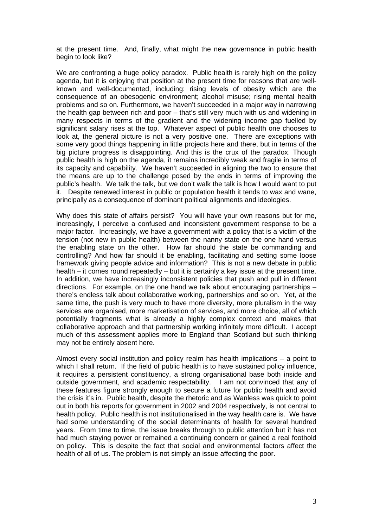at the present time. And, finally, what might the new governance in public health begin to look like?

We are confronting a huge policy paradox. Public health is rarely high on the policy agenda, but it is enjoying that position at the present time for reasons that are wellknown and well-documented, including: rising levels of obesity which are the consequence of an obesogenic environment; alcohol misuse; rising mental health problems and so on. Furthermore, we haven't succeeded in a major way in narrowing the health gap between rich and poor – that's still very much with us and widening in many respects in terms of the gradient and the widening income gap fuelled by significant salary rises at the top. Whatever aspect of public health one chooses to look at, the general picture is not a very positive one. There are exceptions with some very good things happening in little projects here and there, but in terms of the big picture progress is disappointing. And this is the crux of the paradox. Though public health is high on the agenda, it remains incredibly weak and fragile in terms of its capacity and capability. We haven't succeeded in aligning the two to ensure that the means are up to the challenge posed by the ends in terms of improving the public's health. We talk the talk, but we don't walk the talk is how I would want to put it. Despite renewed interest in public or population health it tends to wax and wane, principally as a consequence of dominant political alignments and ideologies.

Why does this state of affairs persist? You will have your own reasons but for me, increasingly, I perceive a confused and inconsistent government response to be a major factor. Increasingly, we have a government with a policy that is a victim of the tension (not new in public health) between the nanny state on the one hand versus the enabling state on the other. How far should the state be commanding and controlling? And how far should it be enabling, facilitating and setting some loose framework giving people advice and information? This is not a new debate in public health – it comes round repeatedly – but it is certainly a key issue at the present time. In addition, we have increasingly inconsistent policies that push and pull in different directions. For example, on the one hand we talk about encouraging partnerships  $$ there's endless talk about collaborative working, partnerships and so on. Yet, at the same time, the push is very much to have more diversity, more pluralism in the way services are organised, more marketisation of services, and more choice, all of which potentially fragments what is already a highly complex context and makes that collaborative approach and that partnership working infinitely more difficult. I accept much of this assessment applies more to England than Scotland but such thinking may not be entirely absent here.

Almost every social institution and policy realm has health implications – a point to which I shall return. If the field of public health is to have sustained policy influence, it requires a persistent constituency, a strong organisational base both inside and outside government, and academic respectability. I am not convinced that any of these features figure strongly enough to secure a future for public health and avoid the crisis it's in. Public health, despite the rhetoric and as Wanless was quick to point out in both his reports for government in 2002 and 2004 respectively, is not central to health policy. Public health is not institutionalised in the way health care is. We have had some understanding of the social determinants of health for several hundred years. From time to time, the issue breaks through to public attention but it has not had much staying power or remained a continuing concern or gained a real foothold on policy. This is despite the fact that social and environmental factors affect the health of all of us. The problem is not simply an issue affecting the poor.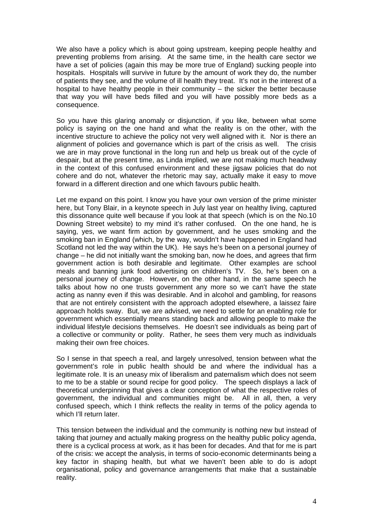We also have a policy which is about going upstream, keeping people healthy and preventing problems from arising. At the same time, in the health care sector we have a set of policies (again this may be more true of England) sucking people into hospitals. Hospitals will survive in future by the amount of work they do, the number of patients they see, and the volume of ill health they treat. It's not in the interest of a hospital to have healthy people in their community – the sicker the better because that way you will have beds filled and you will have possibly more beds as a consequence.

So you have this glaring anomaly or disjunction, if you like, between what some policy is saying on the one hand and what the reality is on the other, with the incentive structure to achieve the policy not very well aligned with it. Nor is there an alignment of policies and governance which is part of the crisis as well. The crisis we are in may prove functional in the long run and help us break out of the cycle of despair, but at the present time, as Linda implied, we are not making much headway in the context of this confused environment and these jigsaw policies that do not cohere and do not, whatever the rhetoric may say, actually make it easy to move forward in a different direction and one which favours public health.

Let me expand on this point. I know you have your own version of the prime minister here, but Tony Blair, in a keynote speech in July last year on healthy living, captured this dissonance quite well because if you look at that speech (which is on the No.10 Downing Street website) to my mind it's rather confused. On the one hand, he is saying, yes, we want firm action by government, and he uses smoking and the smoking ban in England (which, by the way, wouldn't have happened in England had Scotland not led the way within the UK). He says he's been on a personal journey of change – he did not initially want the smoking ban, now he does, and agrees that firm government action is both desirable and legitimate. Other examples are school meals and banning junk food advertising on children's TV. So, he's been on a personal journey of change. However, on the other hand, in the same speech he talks about how no one trusts government any more so we can't have the state acting as nanny even if this was desirable. And in alcohol and gambling, for reasons that are not entirely consistent with the approach adopted elsewhere, a laissez faire approach holds sway. But, we are advised, we need to settle for an enabling role for government which essentially means standing back and allowing people to make the individual lifestyle decisions themselves. He doesn't see individuals as being part of a collective or community or polity. Rather, he sees them very much as individuals making their own free choices.

So I sense in that speech a real, and largely unresolved, tension between what the government's role in public health should be and where the individual has a legitimate role. It is an uneasy mix of liberalism and paternalism which does not seem to me to be a stable or sound recipe for good policy. The speech displays a lack of theoretical underpinning that gives a clear conception of what the respective roles of government, the individual and communities might be. All in all, then, a very confused speech, which I think reflects the reality in terms of the policy agenda to which I'll return later.

This tension between the individual and the community is nothing new but instead of taking that journey and actually making progress on the healthy public policy agenda, there is a cyclical process at work, as it has been for decades. And that for me is part of the crisis: we accept the analysis, in terms of socio-economic determinants being a key factor in shaping health, but what we haven't been able to do is adopt organisational, policy and governance arrangements that make that a sustainable reality.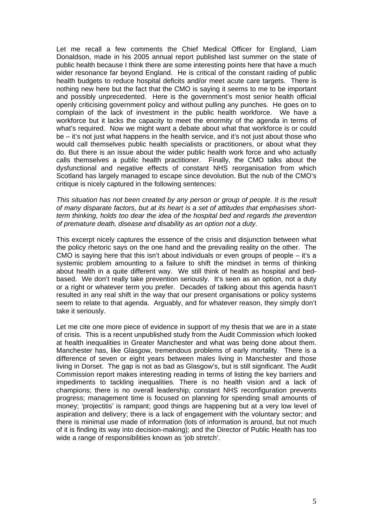Let me recall a few comments the Chief Medical Officer for England, Liam Donaldson, made in his 2005 annual report published last summer on the state of public health because I think there are some interesting points here that have a much wider resonance far beyond England. He is critical of the constant raiding of public health budgets to reduce hospital deficits and/or meet acute care targets. There is nothing new here but the fact that the CMO is saying it seems to me to be important and possibly unprecedented. Here is the government's most senior health official openly criticising government policy and without pulling any punches. He goes on to complain of the lack of investment in the public health workforce. We have a workforce but it lacks the capacity to meet the enormity of the agenda in terms of what's required. Now we might want a debate about what that workforce is or could be – it's not just what happens in the health service, and it's not just about those who would call themselves public health specialists or practitioners, or about what they do. But there is an issue about the wider public health work force and who actually calls themselves a public health practitioner. Finally, the CMO talks about the dysfunctional and negative effects of constant NHS reorganisation from which Scotland has largely managed to escape since devolution. But the nub of the CMO's critique is nicely captured in the following sentences:

*This situation has not been created by any person or group of people. It is the result of many disparate factors, but at its heart is a set of attitudes that emphasises shortterm thinking, holds too dear the idea of the hospital bed and regards the prevention of premature death, disease and disability as an option not a duty.* 

This excerpt nicely captures the essence of the crisis and disjunction between what the policy rhetoric says on the one hand and the prevailing reality on the other. The CMO is saying here that this isn't about individuals or even groups of people – it's a systemic problem amounting to a failure to shift the mindset in terms of thinking about health in a quite different way. We still think of health as hospital and bedbased. We don't really take prevention seriously. It's seen as an option, not a duty or a right or whatever term you prefer. Decades of talking about this agenda hasn't resulted in any real shift in the way that our present organisations or policy systems seem to relate to that agenda. Arguably, and for whatever reason, they simply don't take it seriously.

Let me cite one more piece of evidence in support of my thesis that we are in a state of crisis. This is a recent unpublished study from the Audit Commission which looked at health inequalities in Greater Manchester and what was being done about them. Manchester has, like Glasgow, tremendous problems of early mortality. There is a difference of seven or eight years between males living in Manchester and those living in Dorset. The gap is not as bad as Glasgow's, but is still significant. The Audit Commission report makes interesting reading in terms of listing the key barriers and impediments to tackling inequalities. There is no health vision and a lack of champions; there is no overall leadership; constant NHS reconfiguration prevents progress; management time is focused on planning for spending small amounts of money; 'projectitis' is rampant; good things are happening but at a very low level of aspiration and delivery; there is a lack of engagement with the voluntary sector; and there is minimal use made of information (lots of information is around, but not much of it is finding its way into decision-making); and the Director of Public Health has too wide a range of responsibilities known as 'job stretch'.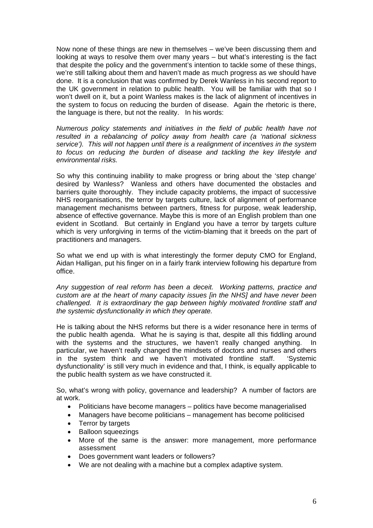Now none of these things are new in themselves – we've been discussing them and looking at ways to resolve them over many years – but what's interesting is the fact that despite the policy and the government's intention to tackle some of these things, we're still talking about them and haven't made as much progress as we should have done. It is a conclusion that was confirmed by Derek Wanless in his second report to the UK government in relation to public health. You will be familiar with that so I won't dwell on it, but a point Wanless makes is the lack of alignment of incentives in the system to focus on reducing the burden of disease. Again the rhetoric is there, the language is there, but not the reality. In his words:

*Numerous policy statements and initiatives in the field of public health have not resulted in a rebalancing of policy away from health care (a 'national sickness service'). This will not happen until there is a realignment of incentives in the system to focus on reducing the burden of disease and tackling the key lifestyle and environmental risks.* 

So why this continuing inability to make progress or bring about the 'step change' desired by Wanless? Wanless and others have documented the obstacles and barriers quite thoroughly. They include capacity problems, the impact of successive NHS reorganisations, the terror by targets culture, lack of alignment of performance management mechanisms between partners, fitness for purpose, weak leadership, absence of effective governance. Maybe this is more of an English problem than one evident in Scotland. But certainly in England you have a terror by targets culture which is very unforgiving in terms of the victim-blaming that it breeds on the part of practitioners and managers.

So what we end up with is what interestingly the former deputy CMO for England, Aidan Halligan, put his finger on in a fairly frank interview following his departure from office.

*Any suggestion of real reform has been a deceit. Working patterns, practice and custom are at the heart of many capacity issues [in the NHS] and have never been challenged. It is extraordinary the gap between highly motivated frontline staff and the systemic dysfunctionality in which they operate.* 

He is talking about the NHS reforms but there is a wider resonance here in terms of the public health agenda. What he is saying is that, despite all this fiddling around with the systems and the structures, we haven't really changed anything. In particular, we haven't really changed the mindsets of doctors and nurses and others in the system think and we haven't motivated frontline staff. 'Systemic dysfunctionality' is still very much in evidence and that, I think, is equally applicable to the public health system as we have constructed it.

So, what's wrong with policy, governance and leadership? A number of factors are at work.

- Politicians have become managers politics have become managerialised
- Managers have become politicians management has become politicised
- Terror by targets
- Balloon squeezings
- More of the same is the answer: more management, more performance assessment
- Does government want leaders or followers?
- We are not dealing with a machine but a complex adaptive system.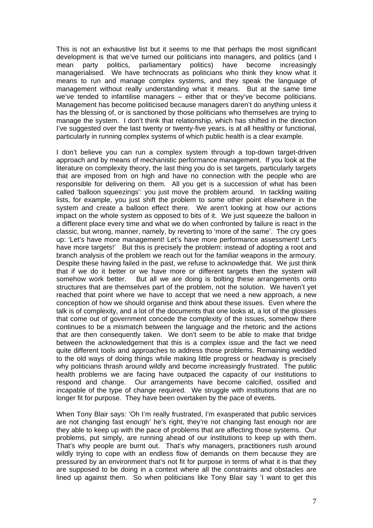This is not an exhaustive list but it seems to me that perhaps the most significant development is that we've turned our politicians into managers, and politics (and I mean party politics, parliamentary politics) have become increasingly managerialised. We have technocrats as politicians who think they know what it means to run and manage complex systems, and they speak the language of management without really understanding what it means. But at the same time we've tended to infantilise managers – either that or they've become politicians. Management has become politicised because managers daren't do anything unless it has the blessing of, or is sanctioned by those politicians who themselves are trying to manage the system. I don't think that relationship, which has shifted in the direction I've suggested over the last twenty or twenty-five years, is at all healthy or functional, particularly in running complex systems of which public health is a clear example.

I don't believe you can run a complex system through a top-down target-driven approach and by means of mechanistic performance management. If you look at the literature on complexity theory, the last thing you do is set targets, particularly targets that are imposed from on high and have no connection with the people who are responsible for delivering on them. All you get is a succession of what has been called 'balloon squeezings': you just move the problem around. In tackling waiting lists, for example, you just shift the problem to some other point elsewhere in the system and create a balloon effect there. We aren't looking at how our actions impact on the whole system as opposed to bits of it. We just squeeze the balloon in a different place every time and what we do when confronted by failure is react in the classic, but wrong, manner, namely, by reverting to 'more of the same'. The cry goes up: 'Let's have more management! Let's have more performance assessment! Let's have more targets!' But this is precisely the problem: instead of adopting a root and branch analysis of the problem we reach out for the familiar weapons in the armoury. Despite these having failed in the past, we refuse to acknowledge that. We just think that if we do it better or we have more or different targets then the system will somehow work better. But all we are doing is bolting these arrangements onto structures that are themselves part of the problem, not the solution. We haven't yet reached that point where we have to accept that we need a new approach, a new conception of how we should organise and think about these issues. Even where the talk is of complexity, and a lot of the documents that one looks at, a lot of the glossies that come out of government concede the complexity of the issues, somehow there continues to be a mismatch between the language and the rhetoric and the actions that are then consequently taken. We don't seem to be able to make that bridge between the acknowledgement that this is a complex issue and the fact we need quite different tools and approaches to address those problems. Remaining wedded to the old ways of doing things while making little progress or headway is precisely why politicians thrash around wildly and become increasingly frustrated. The public health problems we are facing have outpaced the capacity of our institutions to respond and change. Our arrangements have become calcified, ossified and incapable of the type of change required. We struggle with institutions that are no longer fit for purpose. They have been overtaken by the pace of events.

When Tony Blair says: 'Oh I'm really frustrated, I'm exasperated that public services are not changing fast enough' he's right, they're not changing fast enough nor are they able to keep up with the pace of problems that are affecting those systems. Our problems, put simply, are running ahead of our institutions to keep up with them. That's why people are burnt out. That's why managers, practitioners rush around wildly trying to cope with an endless flow of demands on them because they are pressured by an environment that's not fit for purpose in terms of what it is that they are supposed to be doing in a context where all the constraints and obstacles are lined up against them. So when politicians like Tony Blair say 'I want to get this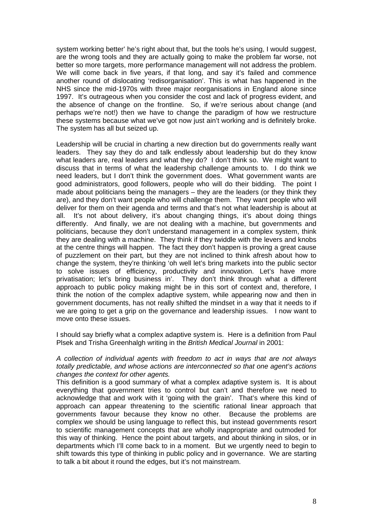system working better' he's right about that, but the tools he's using, I would suggest, are the wrong tools and they are actually going to make the problem far worse, not better so more targets, more performance management will not address the problem. We will come back in five years, if that long, and say it's failed and commence another round of dislocating 'redisorganisation'. This is what has happened in the NHS since the mid-1970s with three major reorganisations in England alone since 1997. It's outrageous when you consider the cost and lack of progress evident, and the absence of change on the frontline. So, if we're serious about change (and perhaps we're not!) then we have to change the paradigm of how we restructure these systems because what we've got now just ain't working and is definitely broke. The system has all but seized up.

Leadership will be crucial in charting a new direction but do governments really want leaders. They say they do and talk endlessly about leadership but do they know what leaders are, real leaders and what they do? I don't think so. We might want to discuss that in terms of what the leadership challenge amounts to. I do think we need leaders, but I don't think the government does. What government wants are good administrators, good followers, people who will do their bidding. The point I made about politicians being the managers – they are the leaders (or they think they are), and they don't want people who will challenge them. They want people who will deliver for them on their agenda and terms and that's not what leadership is about at all. It's not about delivery, it's about changing things, it's about doing things differently. And finally, we are not dealing with a machine, but governments and politicians, because they don't understand management in a complex system, think they are dealing with a machine. They think if they twiddle with the levers and knobs at the centre things will happen. The fact they don't happen is proving a great cause of puzzlement on their part, but they are not inclined to think afresh about how to change the system, they're thinking 'oh well let's bring markets into the public sector to solve issues of efficiency, productivity and innovation. Let's have more privatisation; let's bring business in'. They don't think through what a different approach to public policy making might be in this sort of context and, therefore, I think the notion of the complex adaptive system, while appearing now and then in government documents, has not really shifted the mindset in a way that it needs to if we are going to get a grip on the governance and leadership issues. I now want to move onto these issues.

I should say briefly what a complex adaptive system is. Here is a definition from Paul Plsek and Trisha Greenhalgh writing in the *British Medical Journal* in 2001:

*A collection of individual agents with freedom to act in ways that are not always totally predictable, and whose actions are interconnected so that one agent's actions changes the context for other agents.* 

This definition is a good summary of what a complex adaptive system is. It is about everything that government tries to control but can't and therefore we need to acknowledge that and work with it 'going with the grain'. That's where this kind of approach can appear threatening to the scientific rational linear approach that governments favour because they know no other. Because the problems are complex we should be using language to reflect this, but instead governments resort to scientific management concepts that are wholly inappropriate and outmoded for this way of thinking. Hence the point about targets, and about thinking in silos, or in departments which I'll come back to in a moment. But we urgently need to begin to shift towards this type of thinking in public policy and in governance. We are starting to talk a bit about it round the edges, but it's not mainstream.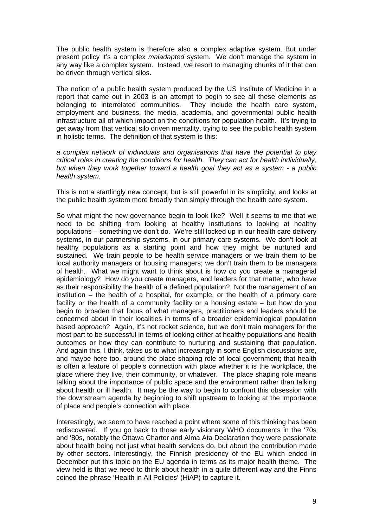The public health system is therefore also a complex adaptive system. But under present policy it's a complex *maladapted* system. We don't manage the system in any way like a complex system. Instead, we resort to managing chunks of it that can be driven through vertical silos.

The notion of a public health system produced by the US Institute of Medicine in a report that came out in 2003 is an attempt to begin to see all these elements as belonging to interrelated communities. They include the health care system, employment and business, the media, academia, and governmental public health infrastructure all of which impact on the conditions for population health. It's trying to get away from that vertical silo driven mentality, trying to see the public health system in holistic terms. The definition of that system is this:

*a complex network of individuals and organisations that have the potential to play critical roles in creating the conditions for health. They can act for health individually, but when they work together toward a health goal they act as a system - a public health system.* 

This is not a startlingly new concept, but is still powerful in its simplicity, and looks at the public health system more broadly than simply through the health care system.

So what might the new governance begin to look like? Well it seems to me that we need to be shifting from looking at healthy institutions to looking at healthy populations – something we don't do. We're still locked up in our health care delivery systems, in our partnership systems, in our primary care systems. We don't look at healthy populations as a starting point and how they might be nurtured and sustained. We train people to be health service managers or we train them to be local authority managers or housing managers; we don't train them to be managers of health. What we might want to think about is how do you create a managerial epidemiology? How do you create managers, and leaders for that matter, who have as their responsibility the health of a defined population? Not the management of an institution – the health of a hospital, for example, or the health of a primary care facility or the health of a community facility or a housing estate – but how do you begin to broaden that focus of what managers, practitioners and leaders should be concerned about in their localities in terms of a broader epidemiological population based approach? Again, it's not rocket science, but we don't train managers for the most part to be successful in terms of looking either at healthy populations and health outcomes or how they can contribute to nurturing and sustaining that population. And again this, I think, takes us to what increasingly in some English discussions are, and maybe here too, around the place shaping role of local government; that health is often a feature of people's connection with place whether it is the workplace, the place where they live, their community, or whatever. The place shaping role means talking about the importance of public space and the environment rather than talking about health or ill health. It may be the way to begin to confront this obsession with the downstream agenda by beginning to shift upstream to looking at the importance of place and people's connection with place.

Interestingly, we seem to have reached a point where some of this thinking has been rediscovered. If you go back to those early visionary WHO documents in the '70s and '80s, notably the Ottawa Charter and Alma Ata Declaration they were passionate about health being not just what health services do, but about the contribution made by other sectors. Interestingly, the Finnish presidency of the EU which ended in December put this topic on the EU agenda in terms as its major health theme. The view held is that we need to think about health in a quite different way and the Finns coined the phrase 'Health in All Policies' (HiAP) to capture it.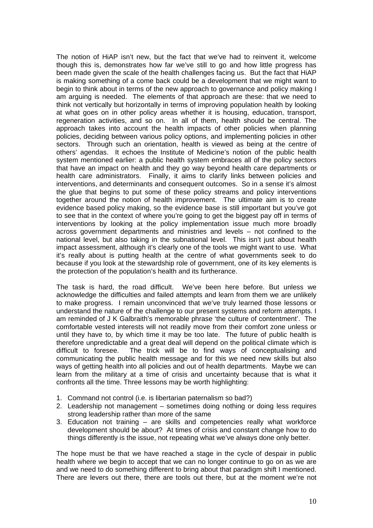The notion of HiAP isn't new, but the fact that we've had to reinvent it, welcome though this is, demonstrates how far we've still to go and how little progress has been made given the scale of the health challenges facing us. But the fact that HiAP is making something of a come back could be a development that we might want to begin to think about in terms of the new approach to governance and policy making I am arguing is needed. The elements of that approach are these: that we need to think not vertically but horizontally in terms of improving population health by looking at what goes on in other policy areas whether it is housing, education, transport, regeneration activities, and so on. In all of them, health should be central. The approach takes into account the health impacts of other policies when planning policies, deciding between various policy options, and implementing policies in other sectors. Through such an orientation, health is viewed as being at the centre of others' agendas. It echoes the Institute of Medicine's notion of the public health system mentioned earlier: a public health system embraces all of the policy sectors that have an impact on health and they go way beyond health care departments or health care administrators. Finally, it aims to clarify links between policies and interventions, and determinants and consequent outcomes. So in a sense it's almost the glue that begins to put some of these policy streams and policy interventions together around the notion of health improvement. The ultimate aim is to create evidence based policy making, so the evidence base is still important but you've got to see that in the context of where you're going to get the biggest pay off in terms of interventions by looking at the policy implementation issue much more broadly across government departments and ministries and levels – not confined to the national level, but also taking in the subnational level. This isn't just about health impact assessment, although it's clearly one of the tools we might want to use. What it's really about is putting health at the centre of what governments seek to do because if you look at the stewardship role of government, one of its key elements is the protection of the population's health and its furtherance.

The task is hard, the road difficult. We've been here before. But unless we acknowledge the difficulties and failed attempts and learn from them we are unlikely to make progress. I remain unconvinced that we've truly learned those lessons or understand the nature of the challenge to our present systems and reform attempts. I am reminded of J K Galbraith's memorable phrase 'the culture of contentment'. The comfortable vested interests will not readily move from their comfort zone unless or until they have to, by which time it may be too late. The future of public health is therefore unpredictable and a great deal will depend on the political climate which is difficult to foresee. The trick will be to find ways of conceptualising and communicating the public health message and for this we need new skills but also ways of getting health into all policies and out of health departments. Maybe we can learn from the military at a time of crisis and uncertainty because that is what it confronts all the time. Three lessons may be worth highlighting:

- 1. Command not control (i.e. is libertarian paternalism so bad?)
- 2. Leadership not management sometimes doing nothing or doing less requires strong leadership rather than more of the same
- 3. Education not training are skills and competencies really what workforce development should be about? At times of crisis and constant change how to do things differently is the issue, not repeating what we've always done only better.

The hope must be that we have reached a stage in the cycle of despair in public health where we begin to accept that we can no longer continue to go on as we are and we need to do something different to bring about that paradigm shift I mentioned. There are levers out there, there are tools out there, but at the moment we're not